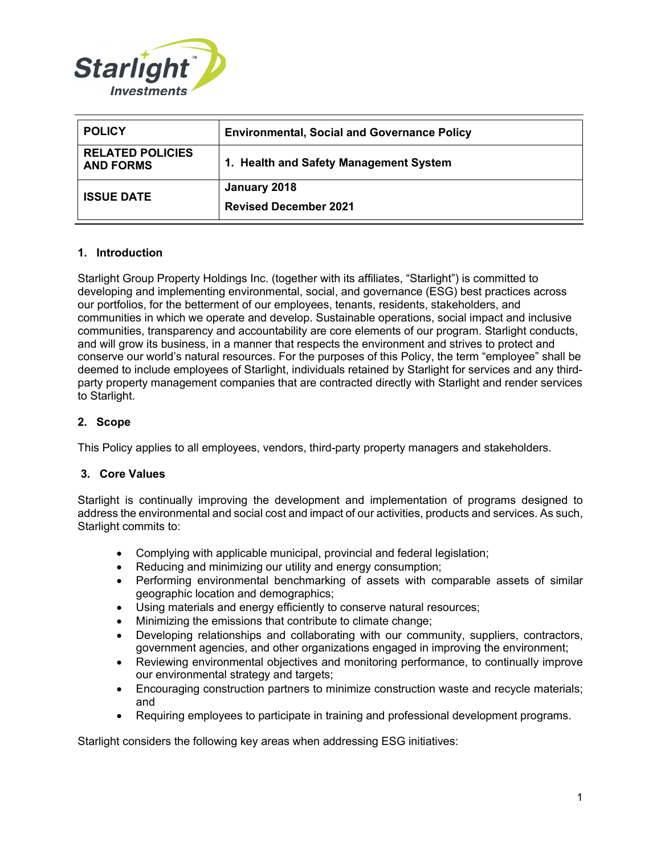

| <b>POLICY</b>                               | <b>Environmental, Social and Governance Policy</b> |
|---------------------------------------------|----------------------------------------------------|
| <b>RELATED POLICIES</b><br><b>AND FORMS</b> | 1. Health and Safety Management System             |
| <b>ISSUE DATE</b>                           | January 2018<br><b>Revised December 2021</b>       |

# **1. Introduction**

Starlight Group Property Holdings Inc. (together with its affiliates, "Starlight") is committed to developing and implementing environmental, social, and governance (ESG) best practices across our portfolios, for the betterment of our employees, tenants, residents, stakeholders, and communities in which we operate and develop. Sustainable operations, social impact and inclusive communities, transparency and accountability are core elements of our program. Starlight conducts, and will grow its business, in a manner that respects the environment and strives to protect and conserve our world's natural resources. For the purposes of this Policy, the term "employee" shall be deemed to include employees of Starlight, individuals retained by Starlight for services and any thirdparty property management companies that are contracted directly with Starlight and render services to Starlight.

### **2. Scope**

This Policy applies to all employees, vendors, third-party property managers and stakeholders.

### **3. Core Values**

Starlight is continually improving the development and implementation of programs designed to address the environmental and social cost and impact of our activities, products and services. As such, Starlight commits to:

- Complying with applicable municipal, provincial and federal legislation;
- Reducing and minimizing our utility and energy consumption;
- Performing environmental benchmarking of assets with comparable assets of similar geographic location and demographics;
- Using materials and energy efficiently to conserve natural resources;
- Minimizing the emissions that contribute to climate change;
- Developing relationships and collaborating with our community, suppliers, contractors, government agencies, and other organizations engaged in improving the environment;
- Reviewing environmental objectives and monitoring performance, to continually improve our environmental strategy and targets;
- Encouraging construction partners to minimize construction waste and recycle materials; and
- Requiring employees to participate in training and professional development programs.

Starlight considers the following key areas when addressing ESG initiatives: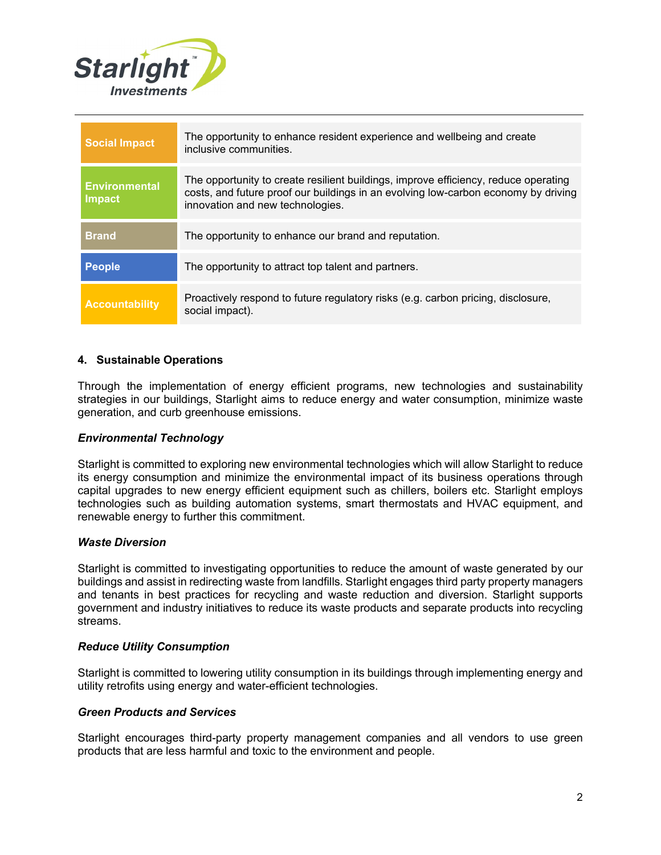

| <b>Social Impact</b>                  | The opportunity to enhance resident experience and wellbeing and create<br>inclusive communities.                                                                                                             |
|---------------------------------------|---------------------------------------------------------------------------------------------------------------------------------------------------------------------------------------------------------------|
| <b>Environmental</b><br><b>Impact</b> | The opportunity to create resilient buildings, improve efficiency, reduce operating<br>costs, and future proof our buildings in an evolving low-carbon economy by driving<br>innovation and new technologies. |
| <b>Brand</b>                          | The opportunity to enhance our brand and reputation.                                                                                                                                                          |
| People                                | The opportunity to attract top talent and partners.                                                                                                                                                           |
| <b>Accountability</b>                 | Proactively respond to future regulatory risks (e.g. carbon pricing, disclosure,<br>social impact).                                                                                                           |

# **4. Sustainable Operations**

Through the implementation of energy efficient programs, new technologies and sustainability strategies in our buildings, Starlight aims to reduce energy and water consumption, minimize waste generation, and curb greenhouse emissions.

### *Environmental Technology*

Starlight is committed to exploring new environmental technologies which will allow Starlight to reduce its energy consumption and minimize the environmental impact of its business operations through capital upgrades to new energy efficient equipment such as chillers, boilers etc. Starlight employs technologies such as building automation systems, smart thermostats and HVAC equipment, and renewable energy to further this commitment.

### *Waste Diversion*

Starlight is committed to investigating opportunities to reduce the amount of waste generated by our buildings and assist in redirecting waste from landfills. Starlight engages third party property managers and tenants in best practices for recycling and waste reduction and diversion. Starlight supports government and industry initiatives to reduce its waste products and separate products into recycling streams.

#### *Reduce Utility Consumption*

Starlight is committed to lowering utility consumption in its buildings through implementing energy and utility retrofits using energy and water-efficient technologies.

### *Green Products and Services*

Starlight encourages third-party property management companies and all vendors to use green products that are less harmful and toxic to the environment and people.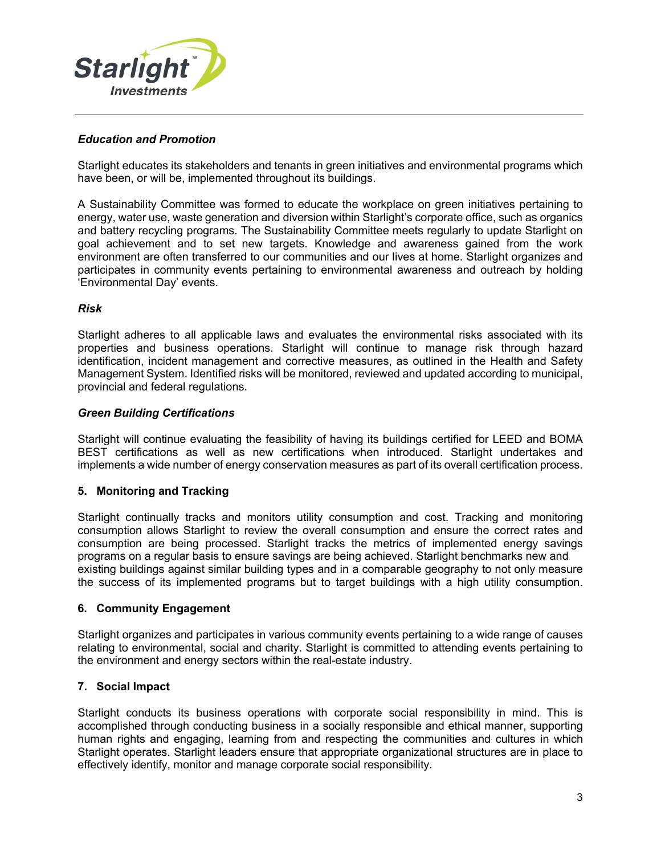

# *Education and Promotion*

Starlight educates its stakeholders and tenants in green initiatives and environmental programs which have been, or will be, implemented throughout its buildings.

A Sustainability Committee was formed to educate the workplace on green initiatives pertaining to energy, water use, waste generation and diversion within Starlight's corporate office, such as organics and battery recycling programs. The Sustainability Committee meets regularly to update Starlight on goal achievement and to set new targets. Knowledge and awareness gained from the work environment are often transferred to our communities and our lives at home. Starlight organizes and participates in community events pertaining to environmental awareness and outreach by holding 'Environmental Day' events.

### *Risk*

Starlight adheres to all applicable laws and evaluates the environmental risks associated with its properties and business operations. Starlight will continue to manage risk through hazard identification, incident management and corrective measures, as outlined in the Health and Safety Management System. Identified risks will be monitored, reviewed and updated according to municipal, provincial and federal regulations.

# *Green Building Certifications*

Starlight will continue evaluating the feasibility of having its buildings certified for LEED and BOMA BEST certifications as well as new certifications when introduced. Starlight undertakes and implements a wide number of energy conservation measures as part of its overall certification process.

### **5. Monitoring and Tracking**

Starlight continually tracks and monitors utility consumption and cost. Tracking and monitoring consumption allows Starlight to review the overall consumption and ensure the correct rates and consumption are being processed. Starlight tracks the metrics of implemented energy savings programs on a regular basis to ensure savings are being achieved. Starlight benchmarks new and existing buildings against similar building types and in a comparable geography to not only measure the success of its implemented programs but to target buildings with a high utility consumption.

### **6. Community Engagement**

Starlight organizes and participates in various community events pertaining to a wide range of causes relating to environmental, social and charity. Starlight is committed to attending events pertaining to the environment and energy sectors within the real-estate industry.

### **7. Social Impact**

Starlight conducts its business operations with corporate social responsibility in mind. This is accomplished through conducting business in a socially responsible and ethical manner, supporting human rights and engaging, learning from and respecting the communities and cultures in which Starlight operates. Starlight leaders ensure that appropriate organizational structures are in place to effectively identify, monitor and manage corporate social responsibility.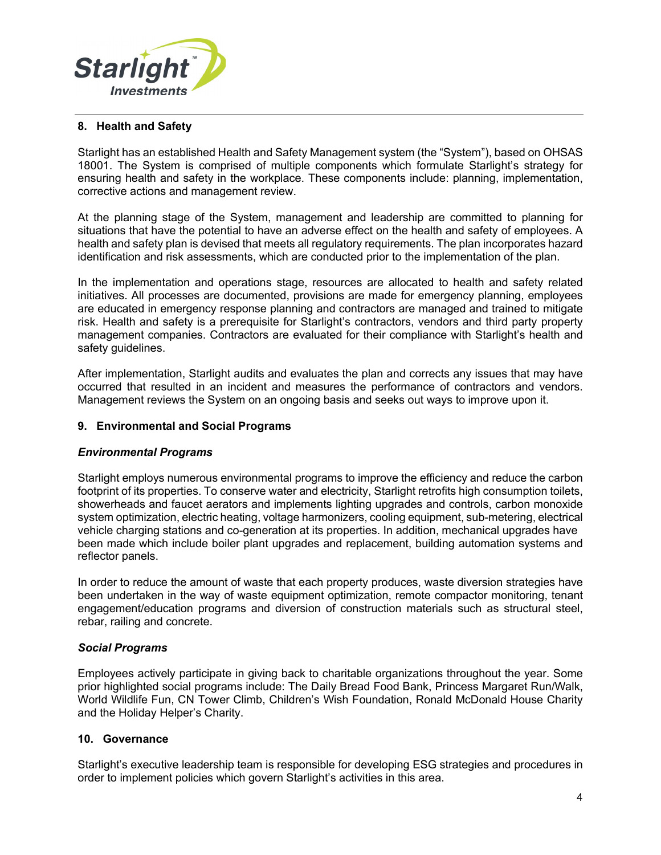

### **8. Health and Safety**

Starlight has an established Health and Safety Management system (the "System"), based on OHSAS 18001. The System is comprised of multiple components which formulate Starlight's strategy for ensuring health and safety in the workplace. These components include: planning, implementation, corrective actions and management review.

At the planning stage of the System, management and leadership are committed to planning for situations that have the potential to have an adverse effect on the health and safety of employees. A health and safety plan is devised that meets all regulatory requirements. The plan incorporates hazard identification and risk assessments, which are conducted prior to the implementation of the plan.

In the implementation and operations stage, resources are allocated to health and safety related initiatives. All processes are documented, provisions are made for emergency planning, employees are educated in emergency response planning and contractors are managed and trained to mitigate risk. Health and safety is a prerequisite for Starlight's contractors, vendors and third party property management companies. Contractors are evaluated for their compliance with Starlight's health and safety guidelines.

After implementation, Starlight audits and evaluates the plan and corrects any issues that may have occurred that resulted in an incident and measures the performance of contractors and vendors. Management reviews the System on an ongoing basis and seeks out ways to improve upon it.

### **9. Environmental and Social Programs**

### *Environmental Programs*

Starlight employs numerous environmental programs to improve the efficiency and reduce the carbon footprint of its properties. To conserve water and electricity, Starlight retrofits high consumption toilets, showerheads and faucet aerators and implements lighting upgrades and controls, carbon monoxide system optimization, electric heating, voltage harmonizers, cooling equipment, sub-metering, electrical vehicle charging stations and co-generation at its properties. In addition, mechanical upgrades have been made which include boiler plant upgrades and replacement, building automation systems and reflector panels.

In order to reduce the amount of waste that each property produces, waste diversion strategies have been undertaken in the way of waste equipment optimization, remote compactor monitoring, tenant engagement/education programs and diversion of construction materials such as structural steel, rebar, railing and concrete.

### *Social Programs*

Employees actively participate in giving back to charitable organizations throughout the year. Some prior highlighted social programs include: The Daily Bread Food Bank, Princess Margaret Run/Walk, World Wildlife Fun, CN Tower Climb, Children's Wish Foundation, Ronald McDonald House Charity and the Holiday Helper's Charity.

### **10. Governance**

Starlight's executive leadership team is responsible for developing ESG strategies and procedures in order to implement policies which govern Starlight's activities in this area.